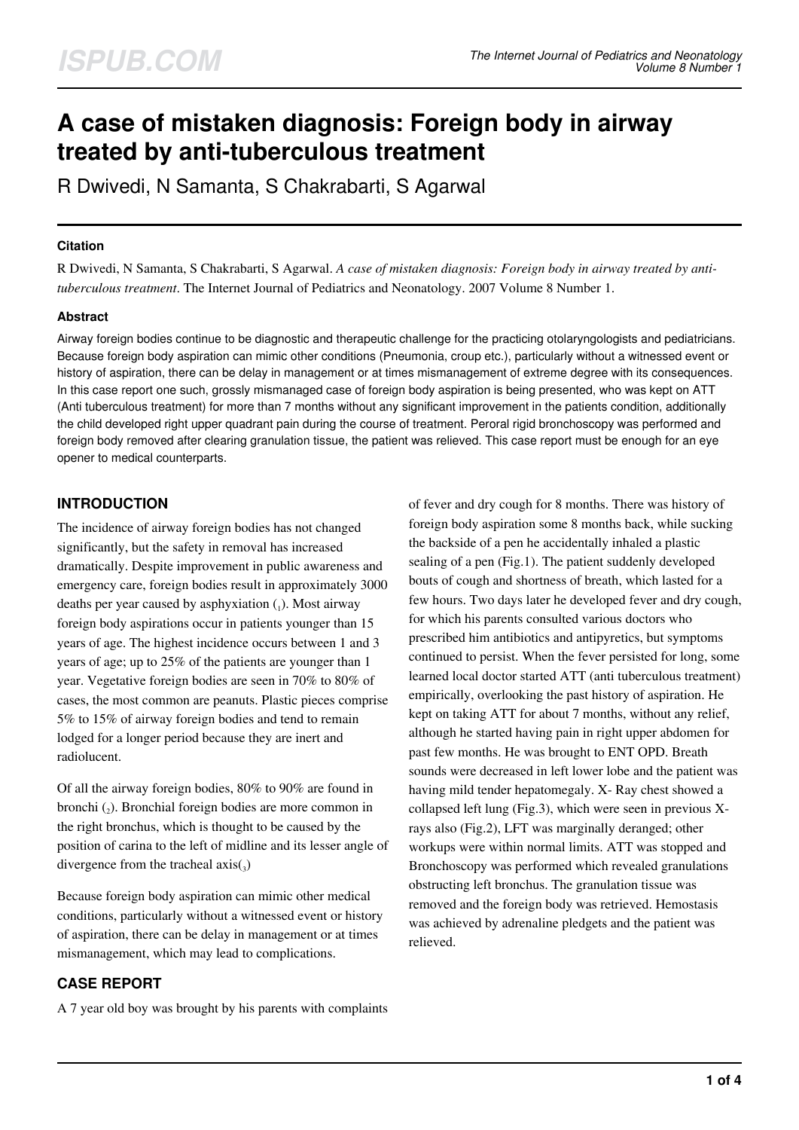# **A case of mistaken diagnosis: Foreign body in airway treated by anti-tuberculous treatment**

R Dwivedi, N Samanta, S Chakrabarti, S Agarwal

## **Citation**

R Dwivedi, N Samanta, S Chakrabarti, S Agarwal. *A case of mistaken diagnosis: Foreign body in airway treated by antituberculous treatment*. The Internet Journal of Pediatrics and Neonatology. 2007 Volume 8 Number 1.

# **Abstract**

Airway foreign bodies continue to be diagnostic and therapeutic challenge for the practicing otolaryngologists and pediatricians. Because foreign body aspiration can mimic other conditions (Pneumonia, croup etc.), particularly without a witnessed event or history of aspiration, there can be delay in management or at times mismanagement of extreme degree with its consequences. In this case report one such, grossly mismanaged case of foreign body aspiration is being presented, who was kept on ATT (Anti tuberculous treatment) for more than 7 months without any significant improvement in the patients condition, additionally the child developed right upper quadrant pain during the course of treatment. Peroral rigid bronchoscopy was performed and foreign body removed after clearing granulation tissue, the patient was relieved. This case report must be enough for an eye opener to medical counterparts.

# **INTRODUCTION**

The incidence of airway foreign bodies has not changed significantly, but the safety in removal has increased dramatically. Despite improvement in public awareness and emergency care, foreign bodies result in approximately 3000 deaths per year caused by asphyxiation  $(_1)$ . Most airway foreign body aspirations occur in patients younger than 15 years of age. The highest incidence occurs between 1 and 3 years of age; up to 25% of the patients are younger than 1 year. Vegetative foreign bodies are seen in 70% to 80% of cases, the most common are peanuts. Plastic pieces comprise 5% to 15% of airway foreign bodies and tend to remain lodged for a longer period because they are inert and radiolucent.

Of all the airway foreign bodies, 80% to 90% are found in bronchi (2). Bronchial foreign bodies are more common in the right bronchus, which is thought to be caused by the position of carina to the left of midline and its lesser angle of divergence from the tracheal  $axis(_{3})$ 

Because foreign body aspiration can mimic other medical conditions, particularly without a witnessed event or history of aspiration, there can be delay in management or at times mismanagement, which may lead to complications.

# **CASE REPORT**

A 7 year old boy was brought by his parents with complaints

of fever and dry cough for 8 months. There was history of foreign body aspiration some 8 months back, while sucking the backside of a pen he accidentally inhaled a plastic sealing of a pen (Fig.1). The patient suddenly developed bouts of cough and shortness of breath, which lasted for a few hours. Two days later he developed fever and dry cough, for which his parents consulted various doctors who prescribed him antibiotics and antipyretics, but symptoms continued to persist. When the fever persisted for long, some learned local doctor started ATT (anti tuberculous treatment) empirically, overlooking the past history of aspiration. He kept on taking ATT for about 7 months, without any relief, although he started having pain in right upper abdomen for past few months. He was brought to ENT OPD. Breath sounds were decreased in left lower lobe and the patient was having mild tender hepatomegaly. X- Ray chest showed a collapsed left lung (Fig.3), which were seen in previous Xrays also (Fig.2), LFT was marginally deranged; other workups were within normal limits. ATT was stopped and Bronchoscopy was performed which revealed granulations obstructing left bronchus. The granulation tissue was removed and the foreign body was retrieved. Hemostasis was achieved by adrenaline pledgets and the patient was relieved.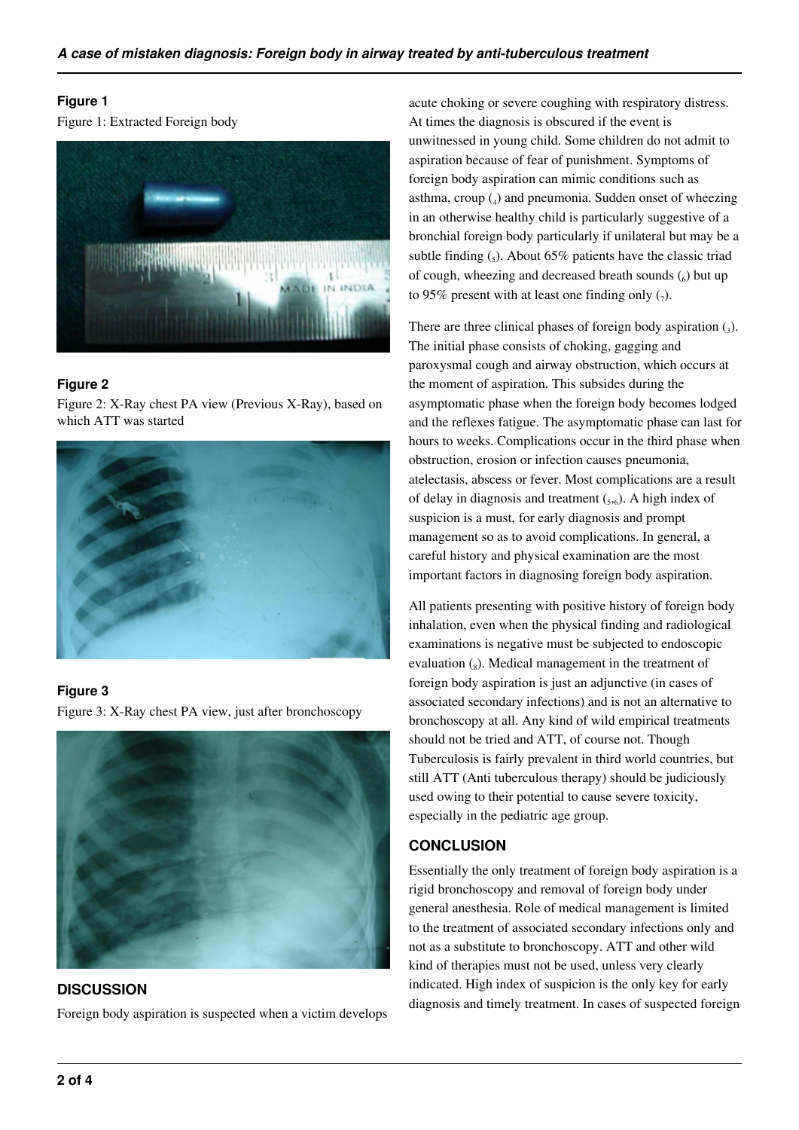## **Figure 1**

Figure 1: Extracted Foreign body



## **Figure 2**

Figure 2: X-Ray chest PA view (Previous X-Ray), based on which ATT was started



# **Figure 3**

Figure 3: X-Ray chest PA view, just after bronchoscopy



**DISCUSSION** Foreign body aspiration is suspected when a victim develops acute choking or severe coughing with respiratory distress. At times the diagnosis is obscured if the event is unwitnessed in young child. Some children do not admit to aspiration because of fear of punishment. Symptoms of foreign body aspiration can mimic conditions such as asthma, croup (<sup>4</sup> ) and pneumonia. Sudden onset of wheezing in an otherwise healthy child is particularly suggestive of a bronchial foreign body particularly if unilateral but may be a subtle finding  $\binom{5}{5}$ . About 65% patients have the classic triad of cough, wheezing and decreased breath sounds  $\binom{6}{6}$  but up to 95% present with at least one finding only  $(7)$ .

There are three clinical phases of foreign body aspiration  $\left($ <sub>3</sub> $\right)$ . The initial phase consists of choking, gagging and paroxysmal cough and airway obstruction, which occurs at the moment of aspiration. This subsides during the asymptomatic phase when the foreign body becomes lodged and the reflexes fatigue. The asymptomatic phase can last for hours to weeks. Complications occur in the third phase when obstruction, erosion or infection causes pneumonia, atelectasis, abscess or fever. Most complications are a result of delay in diagnosis and treatment  $(_{5,6})$ . A high index of suspicion is a must, for early diagnosis and prompt management so as to avoid complications. In general, a careful history and physical examination are the most important factors in diagnosing foreign body aspiration.

All patients presenting with positive history of foreign body inhalation, even when the physical finding and radiological examinations is negative must be subjected to endoscopic evaluation  $\left($ <sub>8</sub>). Medical management in the treatment of foreign body aspiration is just an adjunctive (in cases of associated secondary infections) and is not an alternative to bronchoscopy at all. Any kind of wild empirical treatments should not be tried and ATT, of course not. Though Tuberculosis is fairly prevalent in third world countries, but still ATT (Anti tuberculous therapy) should be judiciously used owing to their potential to cause severe toxicity, especially in the pediatric age group.

# **CONCLUSION**

Essentially the only treatment of foreign body aspiration is a rigid bronchoscopy and removal of foreign body under general anesthesia. Role of medical management is limited to the treatment of associated secondary infections only and not as a substitute to bronchoscopy. ATT and other wild kind of therapies must not be used, unless very clearly indicated. High index of suspicion is the only key for early diagnosis and timely treatment. In cases of suspected foreign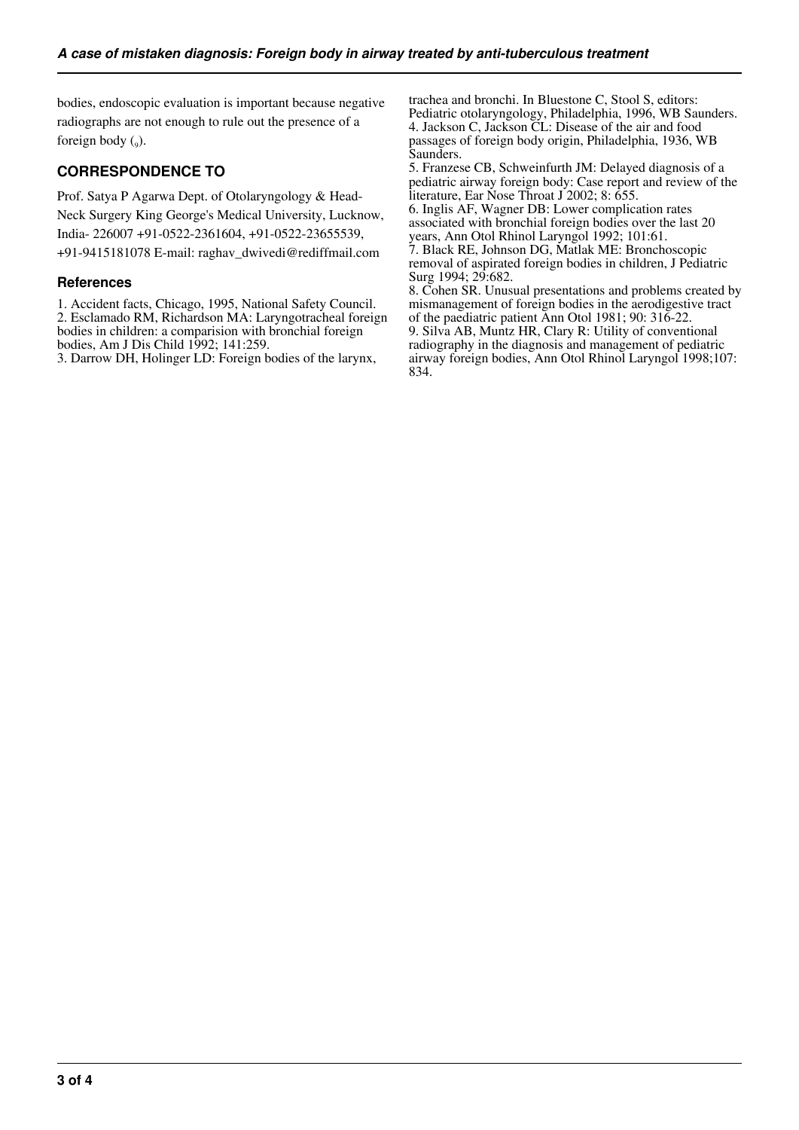bodies, endoscopic evaluation is important because negative radiographs are not enough to rule out the presence of a foreign body  $(_{9})$ .

# **CORRESPONDENCE TO**

Prof. Satya P Agarwa Dept. of Otolaryngology & Head-Neck Surgery King George's Medical University, Lucknow, India- 226007 +91-0522-2361604, +91-0522-23655539, +91-9415181078 E-mail: raghav\_dwivedi@rediffmail.com

### **References**

1. Accident facts, Chicago, 1995, National Safety Council. 2. Esclamado RM, Richardson MA: Laryngotracheal foreign bodies in children: a comparision with bronchial foreign bodies, Am J Dis Child 1992; 141:259.

3. Darrow DH, Holinger LD: Foreign bodies of the larynx,

trachea and bronchi. In Bluestone C, Stool S, editors: Pediatric otolaryngology, Philadelphia, 1996, WB Saunders. 4. Jackson C, Jackson CL: Disease of the air and food passages of foreign body origin, Philadelphia, 1936, WB Saunders.

5. Franzese CB, Schweinfurth JM: Delayed diagnosis of a pediatric airway foreign body: Case report and review of the literature, Ear Nose Throat J 2002; 8: 655.

6. Inglis AF, Wagner DB: Lower complication rates associated with bronchial foreign bodies over the last 20 years, Ann Otol Rhinol Laryngol 1992; 101:61.

7. Black RE, Johnson DG, Matlak ME: Bronchoscopic removal of aspirated foreign bodies in children, J Pediatric Surg 1994; 29:682.

8. Cohen SR. Unusual presentations and problems created by mismanagement of foreign bodies in the aerodigestive tract of the paediatric patient Ann Otol 1981; 90: 316-22. 9. Silva AB, Muntz HR, Clary R: Utility of conventional radiography in the diagnosis and management of pediatric airway foreign bodies, Ann Otol Rhinol Laryngol 1998;107: 834.